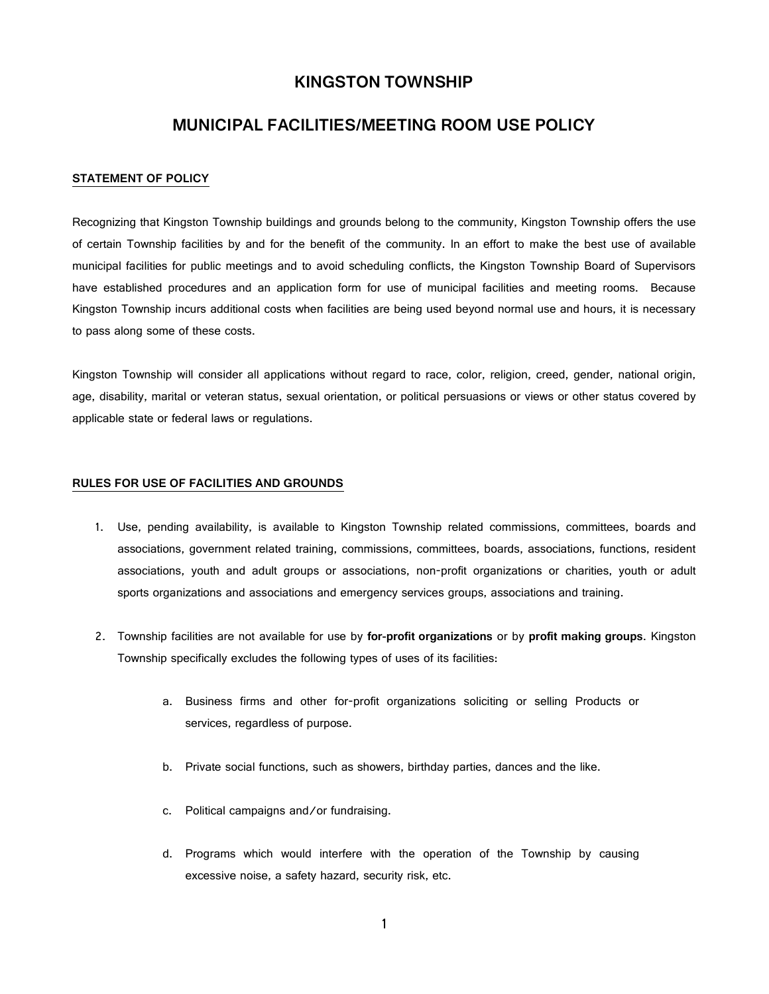## KINGSTON TOWNSHIP

# MUNICIPAL FACILITIES/MEETING ROOM USE POLICY

#### STATEMENT OF POLICY

Recognizing that Kingston Township buildings and grounds belong to the community, Kingston Township offers the use of certain Township facilities by and for the benefit of the community. In an effort to make the best use of available municipal facilities for public meetings and to avoid scheduling conflicts, the Kingston Township Board of Supervisors have established procedures and an application form for use of municipal facilities and meeting rooms. Because Kingston Township incurs additional costs when facilities are being used beyond normal use and hours, it is necessary to pass along some of these costs.

Kingston Township will consider all applications without regard to race, color, religion, creed, gender, national origin, age, disability, marital or veteran status, sexual orientation, or political persuasions or views or other status covered by applicable state or federal laws or regulations.

#### RULES FOR USE OF FACILITIES AND GROUNDS

- 1. Use, pending availability, is available to Kingston Township related commissions, committees, boards and associations, government related training, commissions, committees, boards, associations, functions, resident associations, youth and adult groups or associations, non-profit organizations or charities, youth or adult sports organizations and associations and emergency services groups, associations and training.
- 2. Township facilities are not available for use by for-profit organizations or by profit making groups. Kingston Township specifically excludes the following types of uses of its facilities:
	- a. Business firms and other for-profit organizations soliciting or selling Products or services, regardless of purpose.
	- b. Private social functions, such as showers, birthday parties, dances and the like.
	- c. Political campaigns and/or fundraising.
	- d. Programs which would interfere with the operation of the Township by causing excessive noise, a safety hazard, security risk, etc.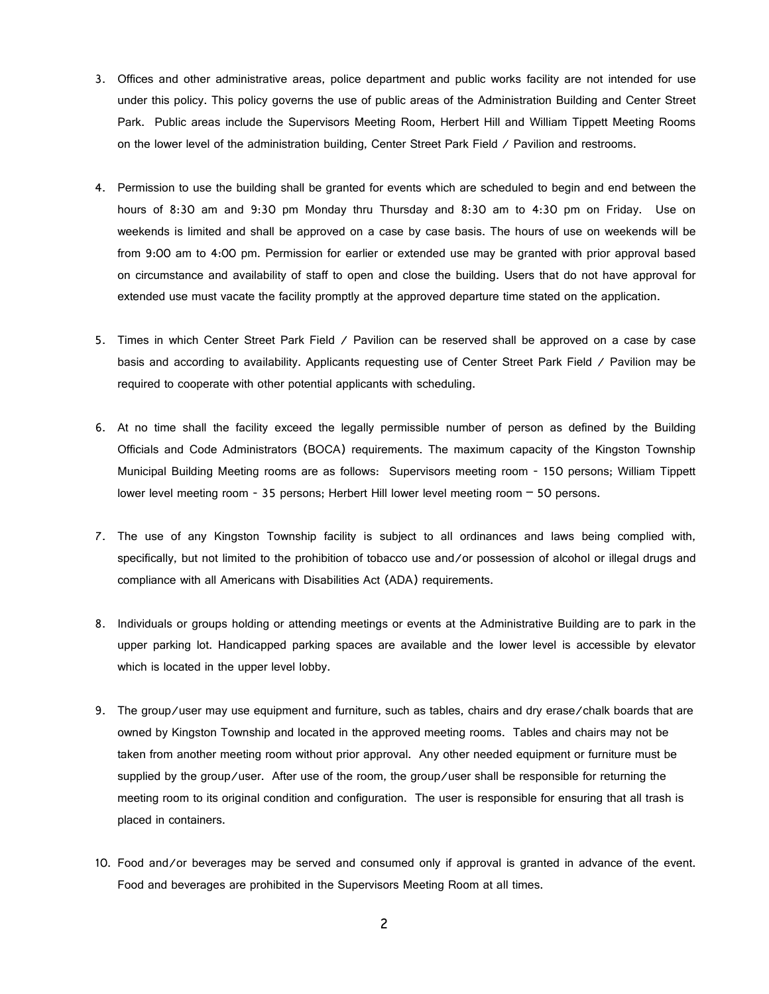- 3. Offices and other administrative areas, police department and public works facility are not intended for use under this policy. This policy governs the use of public areas of the Administration Building and Center Street Park. Public areas include the Supervisors Meeting Room, Herbert Hill and William Tippett Meeting Rooms on the lower level of the administration building, Center Street Park Field / Pavilion and restrooms.
- 4. Permission to use the building shall be granted for events which are scheduled to begin and end between the hours of 8:30 am and 9:30 pm Monday thru Thursday and 8:30 am to 4:30 pm on Friday. Use on weekends is limited and shall be approved on a case by case basis. The hours of use on weekends will be from 9:00 am to 4:00 pm. Permission for earlier or extended use may be granted with prior approval based on circumstance and availability of staff to open and close the building. Users that do not have approval for extended use must vacate the facility promptly at the approved departure time stated on the application.
- 5. Times in which Center Street Park Field / Pavilion can be reserved shall be approved on a case by case basis and according to availability. Applicants requesting use of Center Street Park Field / Pavilion may be required to cooperate with other potential applicants with scheduling.
- 6. At no time shall the facility exceed the legally permissible number of person as defined by the Building Officials and Code Administrators (BOCA) requirements. The maximum capacity of the Kingston Township Municipal Building Meeting rooms are as follows: Supervisors meeting room - 150 persons; William Tippett lower level meeting room - 35 persons; Herbert Hill lower level meeting room – 50 persons.
- 7. The use of any Kingston Township facility is subject to all ordinances and laws being complied with, specifically, but not limited to the prohibition of tobacco use and/or possession of alcohol or illegal drugs and compliance with all Americans with Disabilities Act (ADA) requirements.
- 8. Individuals or groups holding or attending meetings or events at the Administrative Building are to park in the upper parking lot. Handicapped parking spaces are available and the lower level is accessible by elevator which is located in the upper level lobby.
- 9. The group/user may use equipment and furniture, such as tables, chairs and dry erase/chalk boards that are owned by Kingston Township and located in the approved meeting rooms. Tables and chairs may not be taken from another meeting room without prior approval. Any other needed equipment or furniture must be supplied by the group/user. After use of the room, the group/user shall be responsible for returning the meeting room to its original condition and configuration. The user is responsible for ensuring that all trash is placed in containers.
- 10. Food and/or beverages may be served and consumed only if approval is granted in advance of the event. Food and beverages are prohibited in the Supervisors Meeting Room at all times.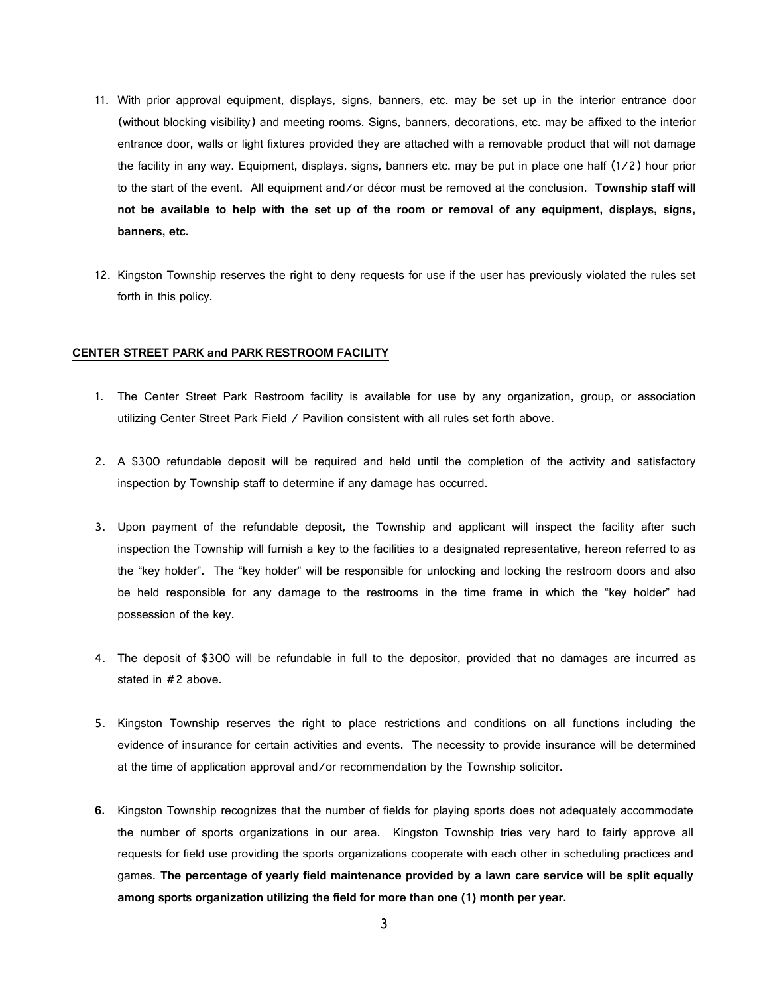- 11. With prior approval equipment, displays, signs, banners, etc. may be set up in the interior entrance door (without blocking visibility) and meeting rooms. Signs, banners, decorations, etc. may be affixed to the interior entrance door, walls or light fixtures provided they are attached with a removable product that will not damage the facility in any way. Equipment, displays, signs, banners etc. may be put in place one half (1/2) hour prior to the start of the event. All equipment and/or décor must be removed at the conclusion. Township staff will not be available to help with the set up of the room or removal of any equipment, displays, signs, banners, etc.
- 12. Kingston Township reserves the right to deny requests for use if the user has previously violated the rules set forth in this policy.

## CENTER STREET PARK and PARK RESTROOM FACILITY

- 1. The Center Street Park Restroom facility is available for use by any organization, group, or association utilizing Center Street Park Field / Pavilion consistent with all rules set forth above.
- 2. A \$300 refundable deposit will be required and held until the completion of the activity and satisfactory inspection by Township staff to determine if any damage has occurred.
- 3. Upon payment of the refundable deposit, the Township and applicant will inspect the facility after such inspection the Township will furnish a key to the facilities to a designated representative, hereon referred to as the "key holder". The "key holder" will be responsible for unlocking and locking the restroom doors and also be held responsible for any damage to the restrooms in the time frame in which the "key holder" had possession of the key.
- 4. The deposit of \$300 will be refundable in full to the depositor, provided that no damages are incurred as stated in #2 above.
- 5. Kingston Township reserves the right to place restrictions and conditions on all functions including the evidence of insurance for certain activities and events. The necessity to provide insurance will be determined at the time of application approval and/or recommendation by the Township solicitor.
- 6. Kingston Township recognizes that the number of fields for playing sports does not adequately accommodate the number of sports organizations in our area. Kingston Township tries very hard to fairly approve all requests for field use providing the sports organizations cooperate with each other in scheduling practices and games. The percentage of yearly field maintenance provided by a lawn care service will be split equally among sports organization utilizing the field for more than one (1) month per year.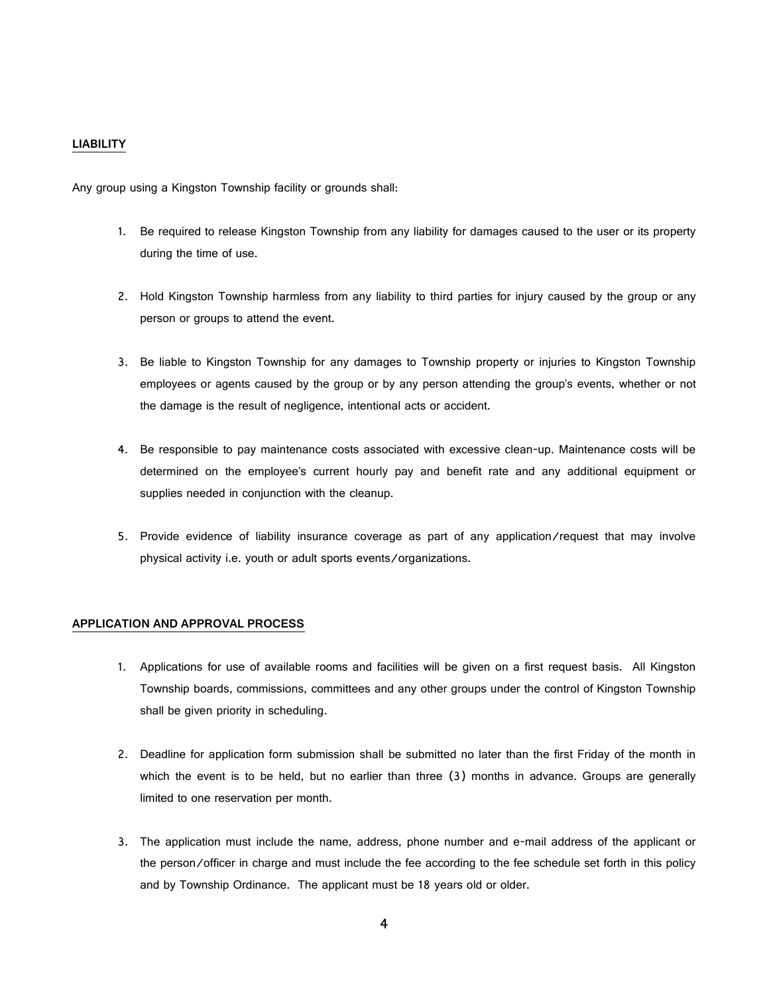## LIABILITY

Any group using a Kingston Township facility or grounds shall:

- 1. Be required to release Kingston Township from any liability for damages caused to the user or its property during the time of use.
- 2. Hold Kingston Township harmless from any liability to third parties for injury caused by the group or any person or groups to attend the event.
- 3. Be liable to Kingston Township for any damages to Township property or injuries to Kingston Township employees or agents caused by the group or by any person attending the group's events, whether or not the damage is the result of negligence, intentional acts or accident.
- 4. Be responsible to pay maintenance costs associated with excessive clean-up. Maintenance costs will be determined on the employee's current hourly pay and benefit rate and any additional equipment or supplies needed in conjunction with the cleanup.
- 5. Provide evidence of liability insurance coverage as part of any application/request that may involve physical activity i.e. youth or adult sports events/organizations.

## APPLICATION AND APPROVAL PROCESS

- 1. Applications for use of available rooms and facilities will be given on a first request basis. All Kingston Township boards, commissions, committees and any other groups under the control of Kingston Township shall be given priority in scheduling.
- 2. Deadline for application form submission shall be submitted no later than the first Friday of the month in which the event is to be held, but no earlier than three (3) months in advance. Groups are generally limited to one reservation per month.
- 3. The application must include the name, address, phone number and e-mail address of the applicant or the person/officer in charge and must include the fee according to the fee schedule set forth in this policy and by Township Ordinance. The applicant must be 18 years old or older.